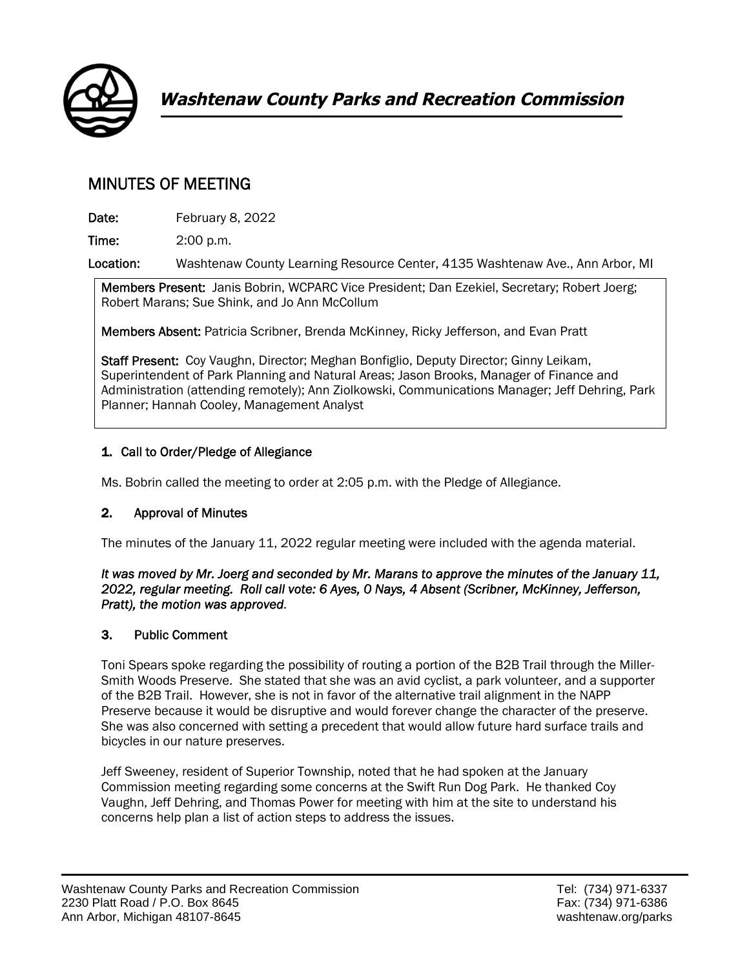

**Washtenaw County Parks and Recreation Commission**

# MINUTES OF MEETING

Date: February 8, 2022

**Time:** 2:00 p.m.

Location: Washtenaw County Learning Resource Center, 4135 Washtenaw Ave., Ann Arbor, MI

Members Present: Janis Bobrin, WCPARC Vice President; Dan Ezekiel, Secretary; Robert Joerg; Robert Marans; Sue Shink, and Jo Ann McCollum

Members Absent: Patricia Scribner, Brenda McKinney, Ricky Jefferson, and Evan Pratt

Staff Present: Coy Vaughn, Director; Meghan Bonfiglio, Deputy Director; Ginny Leikam, Superintendent of Park Planning and Natural Areas; Jason Brooks, Manager of Finance and Administration (attending remotely); Ann Ziolkowski, Communications Manager; Jeff Dehring, Park Planner; Hannah Cooley, Management Analyst

## 1. Call to Order/Pledge of Allegiance

Ms. Bobrin called the meeting to order at 2:05 p.m. with the Pledge of Allegiance.

### 2. Approval of Minutes

The minutes of the January 11, 2022 regular meeting were included with the agenda material.

#### *It was moved by Mr. Joerg and seconded by Mr. Marans to approve the minutes of the January 11, 2022, regular meeting. Roll call vote: 6 Ayes, 0 Nays, 4 Absent (Scribner, McKinney, Jefferson, Pratt), the motion was approved.*

# 3. Public Comment

Toni Spears spoke regarding the possibility of routing a portion of the B2B Trail through the Miller-Smith Woods Preserve. She stated that she was an avid cyclist, a park volunteer, and a supporter of the B2B Trail. However, she is not in favor of the alternative trail alignment in the NAPP Preserve because it would be disruptive and would forever change the character of the preserve. She was also concerned with setting a precedent that would allow future hard surface trails and bicycles in our nature preserves.

Jeff Sweeney, resident of Superior Township, noted that he had spoken at the January Commission meeting regarding some concerns at the Swift Run Dog Park. He thanked Coy Vaughn, Jeff Dehring, and Thomas Power for meeting with him at the site to understand his concerns help plan a list of action steps to address the issues.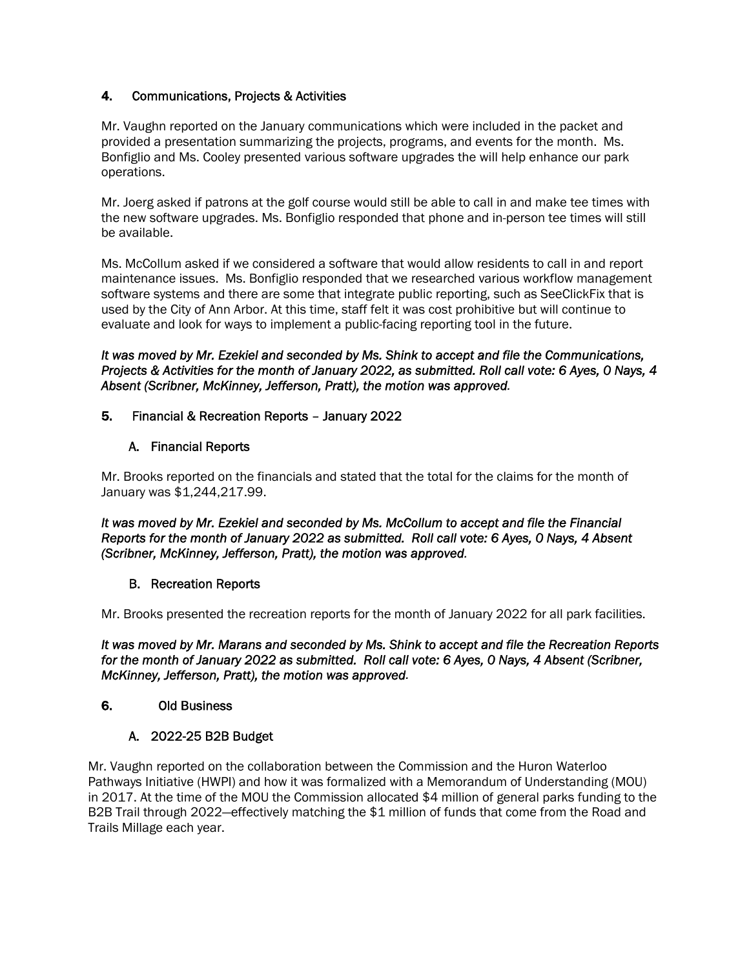### 4. Communications, Projects & Activities

Mr. Vaughn reported on the January communications which were included in the packet and provided a presentation summarizing the projects, programs, and events for the month. Ms. Bonfiglio and Ms. Cooley presented various software upgrades the will help enhance our park operations.

Mr. Joerg asked if patrons at the golf course would still be able to call in and make tee times with the new software upgrades. Ms. Bonfiglio responded that phone and in-person tee times will still be available.

Ms. McCollum asked if we considered a software that would allow residents to call in and report maintenance issues. Ms. Bonfiglio responded that we researched various workflow management software systems and there are some that integrate public reporting, such as SeeClickFix that is used by the City of Ann Arbor. At this time, staff felt it was cost prohibitive but will continue to evaluate and look for ways to implement a public-facing reporting tool in the future.

*It was moved by Mr. Ezekiel and seconded by Ms. Shink to accept and file the Communications, Projects & Activities for the month of January 2022, as submitted. Roll call vote: 6 Ayes, 0 Nays, 4 Absent (Scribner, McKinney, Jefferson, Pratt), the motion was approved.* 

## 5. Financial & Recreation Reports – January 2022

## A. Financial Reports

Mr. Brooks reported on the financials and stated that the total for the claims for the month of January was \$1,244,217.99.

*It was moved by Mr. Ezekiel and seconded by Ms. McCollum to accept and file the Financial Reports for the month of January 2022 as submitted. Roll call vote: 6 Ayes, 0 Nays, 4 Absent (Scribner, McKinney, Jefferson, Pratt), the motion was approved.* 

### B. Recreation Reports

Mr. Brooks presented the recreation reports for the month of January 2022 for all park facilities.

*It was moved by Mr. Marans and seconded by Ms. Shink to accept and file the Recreation Reports for the month of January 2022 as submitted. Roll call vote: 6 Ayes, 0 Nays, 4 Absent (Scribner, McKinney, Jefferson, Pratt), the motion was approved.* 

### 6. Old Business

# A. 2022-25 B2B Budget

Mr. Vaughn reported on the collaboration between the Commission and the Huron Waterloo Pathways Initiative (HWPI) and how it was formalized with a Memorandum of Understanding (MOU) in 2017. At the time of the MOU the Commission allocated \$4 million of general parks funding to the B2B Trail through 2022—effectively matching the \$1 million of funds that come from the Road and Trails Millage each year.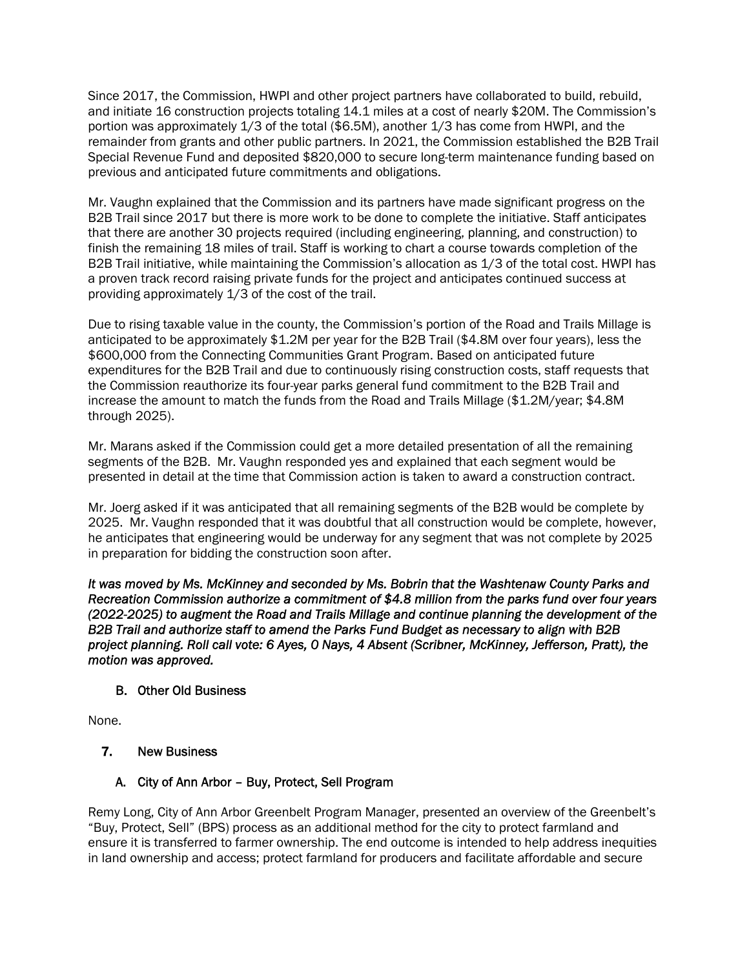Since 2017, the Commission, HWPI and other project partners have collaborated to build, rebuild, and initiate 16 construction projects totaling 14.1 miles at a cost of nearly \$20M. The Commission's portion was approximately 1/3 of the total (\$6.5M), another 1/3 has come from HWPI, and the remainder from grants and other public partners. In 2021, the Commission established the B2B Trail Special Revenue Fund and deposited \$820,000 to secure long-term maintenance funding based on previous and anticipated future commitments and obligations.

Mr. Vaughn explained that the Commission and its partners have made significant progress on the B2B Trail since 2017 but there is more work to be done to complete the initiative. Staff anticipates that there are another 30 projects required (including engineering, planning, and construction) to finish the remaining 18 miles of trail. Staff is working to chart a course towards completion of the B2B Trail initiative, while maintaining the Commission's allocation as 1/3 of the total cost. HWPI has a proven track record raising private funds for the project and anticipates continued success at providing approximately 1/3 of the cost of the trail.

Due to rising taxable value in the county, the Commission's portion of the Road and Trails Millage is anticipated to be approximately \$1.2M per year for the B2B Trail (\$4.8M over four years), less the \$600,000 from the Connecting Communities Grant Program. Based on anticipated future expenditures for the B2B Trail and due to continuously rising construction costs, staff requests that the Commission reauthorize its four-year parks general fund commitment to the B2B Trail and increase the amount to match the funds from the Road and Trails Millage (\$1.2M/year; \$4.8M through 2025).

Mr. Marans asked if the Commission could get a more detailed presentation of all the remaining segments of the B2B. Mr. Vaughn responded yes and explained that each segment would be presented in detail at the time that Commission action is taken to award a construction contract.

Mr. Joerg asked if it was anticipated that all remaining segments of the B2B would be complete by 2025. Mr. Vaughn responded that it was doubtful that all construction would be complete, however, he anticipates that engineering would be underway for any segment that was not complete by 2025 in preparation for bidding the construction soon after.

*It was moved by Ms. McKinney and seconded by Ms. Bobrin that the Washtenaw County Parks and Recreation Commission authorize a commitment of \$4.8 million from the parks fund over four years (2022-2025) to augment the Road and Trails Millage and continue planning the development of the B2B Trail and authorize staff to amend the Parks Fund Budget as necessary to align with B2B project planning. Roll call vote: 6 Ayes, 0 Nays, 4 Absent (Scribner, McKinney, Jefferson, Pratt), the motion was approved.* 

### B. Other Old Business

None.

## 7. New Business

### A. City of Ann Arbor – Buy, Protect, Sell Program

Remy Long, City of Ann Arbor Greenbelt Program Manager, presented an overview of the Greenbelt's "Buy, Protect, Sell" (BPS) process as an additional method for the city to protect farmland and ensure it is transferred to farmer ownership. The end outcome is intended to help address inequities in land ownership and access; protect farmland for producers and facilitate affordable and secure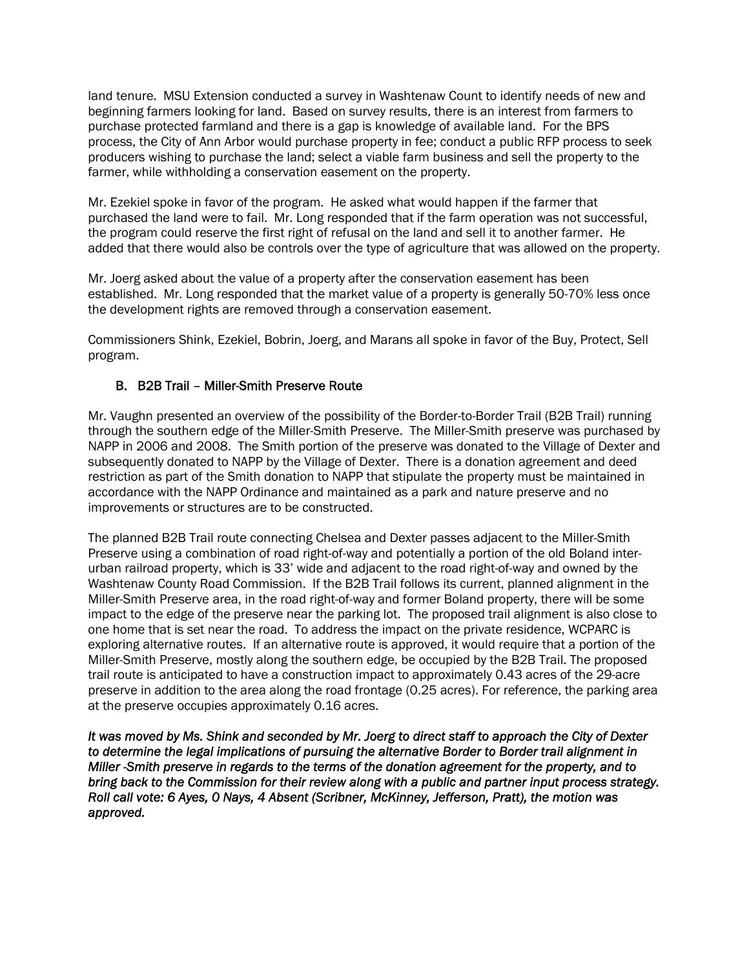land tenure. MSU Extension conducted a survey in Washtenaw Count to identify needs of new and beginning farmers looking for land. Based on survey results, there is an interest from farmers to purchase protected farmland and there is a gap is knowledge of available land. For the BPS process, the City of Ann Arbor would purchase property in fee; conduct a public RFP process to seek producers wishing to purchase the land; select a viable farm business and sell the property to the farmer, while withholding a conservation easement on the property.

Mr. Ezekiel spoke in favor of the program. He asked what would happen if the farmer that purchased the land were to fail. Mr. Long responded that if the farm operation was not successful, the program could reserve the first right of refusal on the land and sell it to another farmer. He added that there would also be controls over the type of agriculture that was allowed on the property.

Mr. Joerg asked about the value of a property after the conservation easement has been established. Mr. Long responded that the market value of a property is generally 50-70% less once the development rights are removed through a conservation easement.

Commissioners Shink, Ezekiel, Bobrin, Joerg, and Marans all spoke in favor of the Buy, Protect, Sell program.

### B. B2B Trail – Miller-Smith Preserve Route

Mr. Vaughn presented an overview of the possibility of the Border-to-Border Trail (B2B Trail) running through the southern edge of the Miller-Smith Preserve. The Miller-Smith preserve was purchased by NAPP in 2006 and 2008. The Smith portion of the preserve was donated to the Village of Dexter and subsequently donated to NAPP by the Village of Dexter. There is a donation agreement and deed restriction as part of the Smith donation to NAPP that stipulate the property must be maintained in accordance with the NAPP Ordinance and maintained as a park and nature preserve and no improvements or structures are to be constructed.

The planned B2B Trail route connecting Chelsea and Dexter passes adjacent to the Miller-Smith Preserve using a combination of road right-of-way and potentially a portion of the old Boland interurban railroad property, which is 33' wide and adjacent to the road right-of-way and owned by the Washtenaw County Road Commission. If the B2B Trail follows its current, planned alignment in the Miller-Smith Preserve area, in the road right-of-way and former Boland property, there will be some impact to the edge of the preserve near the parking lot. The proposed trail alignment is also close to one home that is set near the road. To address the impact on the private residence, WCPARC is exploring alternative routes. If an alternative route is approved, it would require that a portion of the Miller-Smith Preserve, mostly along the southern edge, be occupied by the B2B Trail. The proposed trail route is anticipated to have a construction impact to approximately 0.43 acres of the 29-acre preserve in addition to the area along the road frontage (0.25 acres). For reference, the parking area at the preserve occupies approximately 0.16 acres.

*It was moved by Ms. Shink and seconded by Mr. Joerg to direct staff to approach the City of Dexter to determine the legal implications of pursuing the alternative Border to Border trail alignment in Miller -Smith preserve in regards to the terms of the donation agreement for the property, and to bring back to the Commission for their review along with a public and partner input process strategy. Roll call vote: 6 Ayes, 0 Nays, 4 Absent (Scribner, McKinney, Jefferson, Pratt), the motion was approved.*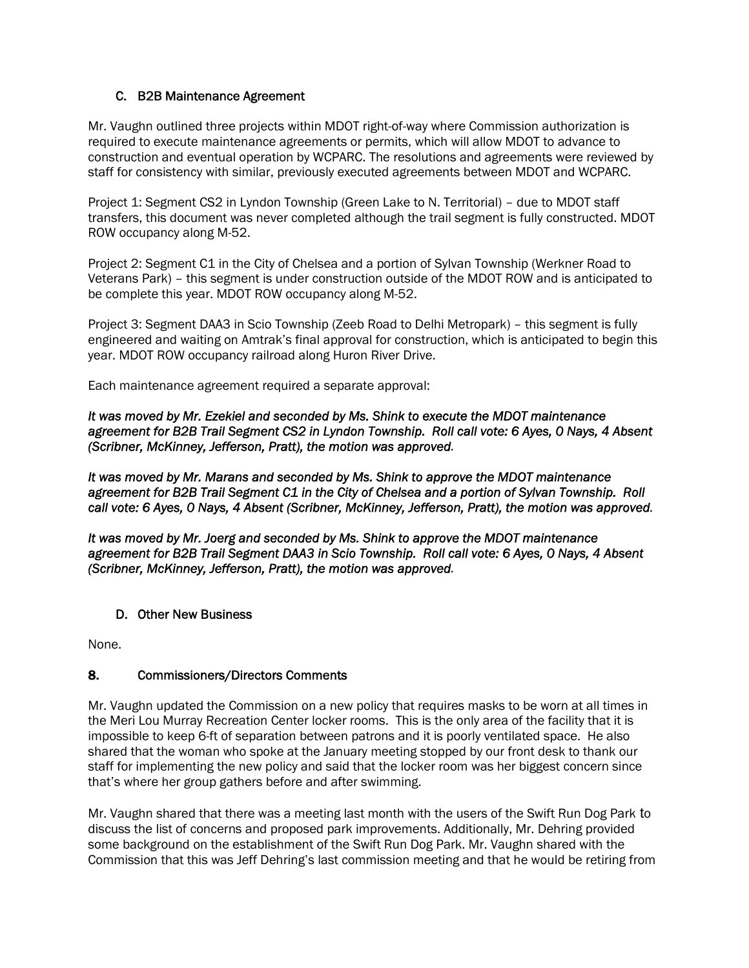### C. B2B Maintenance Agreement

Mr. Vaughn outlined three projects within MDOT right-of-way where Commission authorization is required to execute maintenance agreements or permits, which will allow MDOT to advance to construction and eventual operation by WCPARC. The resolutions and agreements were reviewed by staff for consistency with similar, previously executed agreements between MDOT and WCPARC.

Project 1: Segment CS2 in Lyndon Township (Green Lake to N. Territorial) – due to MDOT staff transfers, this document was never completed although the trail segment is fully constructed. MDOT ROW occupancy along M-52.

Project 2: Segment C1 in the City of Chelsea and a portion of Sylvan Township (Werkner Road to Veterans Park) – this segment is under construction outside of the MDOT ROW and is anticipated to be complete this year. MDOT ROW occupancy along M-52.

Project 3: Segment DAA3 in Scio Township (Zeeb Road to Delhi Metropark) – this segment is fully engineered and waiting on Amtrak's final approval for construction, which is anticipated to begin this year. MDOT ROW occupancy railroad along Huron River Drive.

Each maintenance agreement required a separate approval:

*It was moved by Mr. Ezekiel and seconded by Ms. Shink to execute the MDOT maintenance agreement for B2B Trail Segment CS2 in Lyndon Township. Roll call vote: 6 Ayes, 0 Nays, 4 Absent (Scribner, McKinney, Jefferson, Pratt), the motion was approved.* 

*It was moved by Mr. Marans and seconded by Ms. Shink to approve the MDOT maintenance agreement for B2B Trail Segment C1 in the City of Chelsea and a portion of Sylvan Township. Roll call vote: 6 Ayes, 0 Nays, 4 Absent (Scribner, McKinney, Jefferson, Pratt), the motion was approved.* 

*It was moved by Mr. Joerg and seconded by Ms. Shink to approve the MDOT maintenance agreement for B2B Trail Segment DAA3 in Scio Township. Roll call vote: 6 Ayes, 0 Nays, 4 Absent (Scribner, McKinney, Jefferson, Pratt), the motion was approved.* 

# D. Other New Business

None.

### 8. Commissioners/Directors Comments

Mr. Vaughn updated the Commission on a new policy that requires masks to be worn at all times in the Meri Lou Murray Recreation Center locker rooms. This is the only area of the facility that it is impossible to keep 6-ft of separation between patrons and it is poorly ventilated space. He also shared that the woman who spoke at the January meeting stopped by our front desk to thank our staff for implementing the new policy and said that the locker room was her biggest concern since that's where her group gathers before and after swimming.

Mr. Vaughn shared that there was a meeting last month with the users of the Swift Run Dog Park to discuss the list of concerns and proposed park improvements. Additionally, Mr. Dehring provided some background on the establishment of the Swift Run Dog Park. Mr. Vaughn shared with the Commission that this was Jeff Dehring's last commission meeting and that he would be retiring from